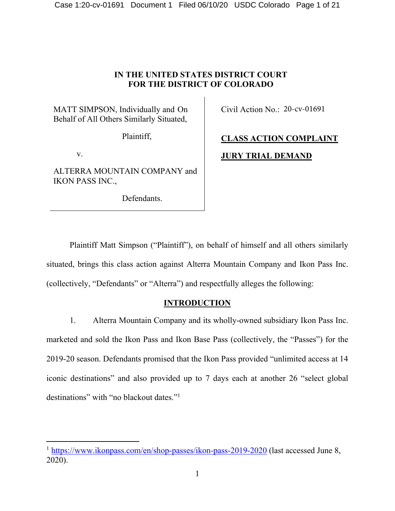# **IN THE UNITED STATES DISTRICT COURT FOR THE DISTRICT OF COLORADO**

MATT SIMPSON, Individually and On Behalf of All Others Similarly Situated,

Plaintiff,

v.

ALTERRA MOUNTAIN COMPANY and IKON PASS INC.,

Defendants.

Civil Action No.: 20-cv-01691

# **CLASS ACTION COMPLAINT JURY TRIAL DEMAND**

Plaintiff Matt Simpson ("Plaintiff"), on behalf of himself and all others similarly situated, brings this class action against Alterra Mountain Company and Ikon Pass Inc. (collectively, "Defendants" or "Alterra") and respectfully alleges the following:

# **INTRODUCTION**

1. Alterra Mountain Company and its wholly-owned subsidiary Ikon Pass Inc. marketed and sold the Ikon Pass and Ikon Base Pass (collectively, the "Passes") for the 2019-20 season. Defendants promised that the Ikon Pass provided "unlimited access at 14 iconic destinations" and also provided up to 7 days each at another 26 "select global destinations" with "no blackout dates."<sup>1</sup>

<sup>&</sup>lt;sup>1</sup> https://www.ikonpass.com/en/shop-passes/ikon-pass-2019-2020 (last accessed June 8, 2020).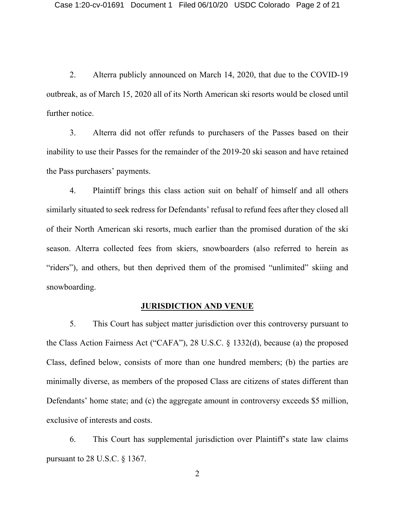2. Alterra publicly announced on March 14, 2020, that due to the COVID-19 outbreak, as of March 15, 2020 all of its North American ski resorts would be closed until further notice.

3. Alterra did not offer refunds to purchasers of the Passes based on their inability to use their Passes for the remainder of the 2019-20 ski season and have retained the Pass purchasers' payments.

4. Plaintiff brings this class action suit on behalf of himself and all others similarly situated to seek redress for Defendants' refusal to refund fees after they closed all of their North American ski resorts, much earlier than the promised duration of the ski season. Alterra collected fees from skiers, snowboarders (also referred to herein as "riders"), and others, but then deprived them of the promised "unlimited" skiing and snowboarding.

#### **JURISDICTION AND VENUE**

5. This Court has subject matter jurisdiction over this controversy pursuant to the Class Action Fairness Act ("CAFA"), 28 U.S.C. § 1332(d), because (a) the proposed Class, defined below, consists of more than one hundred members; (b) the parties are minimally diverse, as members of the proposed Class are citizens of states different than Defendants' home state; and (c) the aggregate amount in controversy exceeds \$5 million, exclusive of interests and costs.

6. This Court has supplemental jurisdiction over Plaintiff's state law claims pursuant to 28 U.S.C. § 1367.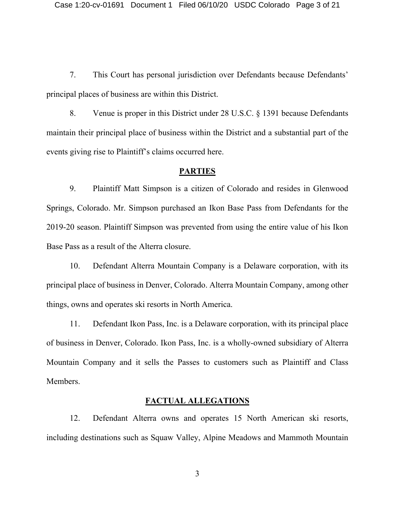7. This Court has personal jurisdiction over Defendants because Defendants' principal places of business are within this District.

8. Venue is proper in this District under 28 U.S.C. § 1391 because Defendants maintain their principal place of business within the District and a substantial part of the events giving rise to Plaintiff's claims occurred here.

#### **PARTIES**

9. Plaintiff Matt Simpson is a citizen of Colorado and resides in Glenwood Springs, Colorado. Mr. Simpson purchased an Ikon Base Pass from Defendants for the 2019-20 season. Plaintiff Simpson was prevented from using the entire value of his Ikon Base Pass as a result of the Alterra closure.

10. Defendant Alterra Mountain Company is a Delaware corporation, with its principal place of business in Denver, Colorado. Alterra Mountain Company, among other things, owns and operates ski resorts in North America.

11. Defendant Ikon Pass, Inc. is a Delaware corporation, with its principal place of business in Denver, Colorado. Ikon Pass, Inc. is a wholly-owned subsidiary of Alterra Mountain Company and it sells the Passes to customers such as Plaintiff and Class Members.

#### **FACTUAL ALLEGATIONS**

12. Defendant Alterra owns and operates 15 North American ski resorts, including destinations such as Squaw Valley, Alpine Meadows and Mammoth Mountain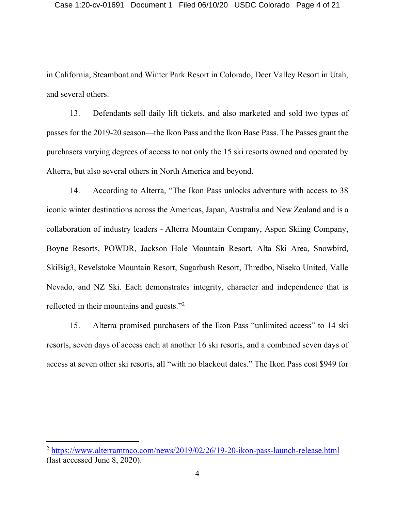in California, Steamboat and Winter Park Resort in Colorado, Deer Valley Resort in Utah, and several others.

13. Defendants sell daily lift tickets, and also marketed and sold two types of passes for the 2019-20 season—the Ikon Pass and the Ikon Base Pass. The Passes grant the purchasers varying degrees of access to not only the 15 ski resorts owned and operated by Alterra, but also several others in North America and beyond.

14. According to Alterra, "The Ikon Pass unlocks adventure with access to 38 iconic winter destinations across the Americas, Japan, Australia and New Zealand and is a collaboration of industry leaders - Alterra Mountain Company, Aspen Skiing Company, Boyne Resorts, POWDR, Jackson Hole Mountain Resort, Alta Ski Area, Snowbird, SkiBig3, Revelstoke Mountain Resort, Sugarbush Resort, Thredbo, Niseko United, Valle Nevado, and NZ Ski. Each demonstrates integrity, character and independence that is reflected in their mountains and guests."2

15. Alterra promised purchasers of the Ikon Pass "unlimited access" to 14 ski resorts, seven days of access each at another 16 ski resorts, and a combined seven days of access at seven other ski resorts, all "with no blackout dates." The Ikon Pass cost \$949 for

<sup>2</sup> https://www.alterramtnco.com/news/2019/02/26/19-20-ikon-pass-launch-release.html (last accessed June 8, 2020).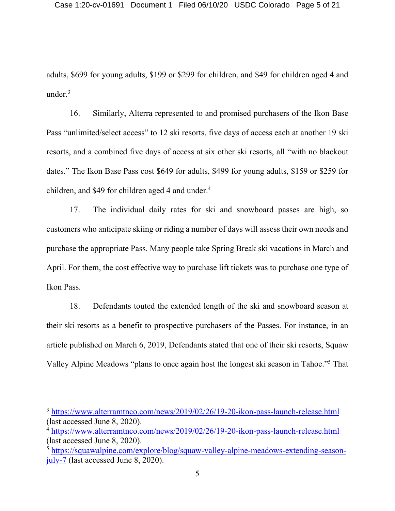adults, \$699 for young adults, \$199 or \$299 for children, and \$49 for children aged 4 and under. $3$ 

16. Similarly, Alterra represented to and promised purchasers of the Ikon Base Pass "unlimited/select access" to 12 ski resorts, five days of access each at another 19 ski resorts, and a combined five days of access at six other ski resorts, all "with no blackout dates." The Ikon Base Pass cost \$649 for adults, \$499 for young adults, \$159 or \$259 for children, and \$49 for children aged 4 and under.<sup>4</sup>

17. The individual daily rates for ski and snowboard passes are high, so customers who anticipate skiing or riding a number of days will assess their own needs and purchase the appropriate Pass. Many people take Spring Break ski vacations in March and April. For them, the cost effective way to purchase lift tickets was to purchase one type of Ikon Pass.

18. Defendants touted the extended length of the ski and snowboard season at their ski resorts as a benefit to prospective purchasers of the Passes. For instance, in an article published on March 6, 2019, Defendants stated that one of their ski resorts, Squaw Valley Alpine Meadows "plans to once again host the longest ski season in Tahoe."<sup>5</sup> That

<sup>3</sup> https://www.alterramtnco.com/news/2019/02/26/19-20-ikon-pass-launch-release.html (last accessed June 8, 2020).

<sup>4</sup> https://www.alterramtnco.com/news/2019/02/26/19-20-ikon-pass-launch-release.html (last accessed June 8, 2020).

<sup>5</sup> https://squawalpine.com/explore/blog/squaw-valley-alpine-meadows-extending-seasonjuly-7 (last accessed June 8, 2020).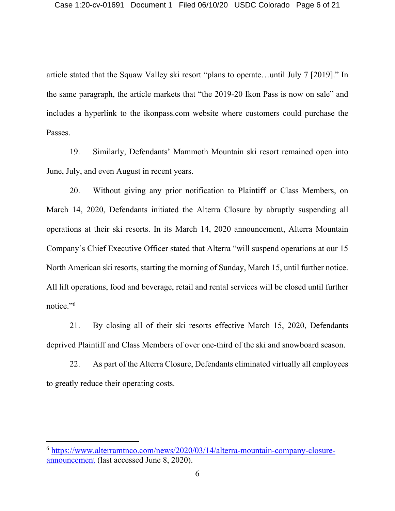article stated that the Squaw Valley ski resort "plans to operate…until July 7 [2019]." In the same paragraph, the article markets that "the 2019-20 Ikon Pass is now on sale" and includes a hyperlink to the ikonpass.com website where customers could purchase the Passes.

19. Similarly, Defendants' Mammoth Mountain ski resort remained open into June, July, and even August in recent years.

20. Without giving any prior notification to Plaintiff or Class Members, on March 14, 2020, Defendants initiated the Alterra Closure by abruptly suspending all operations at their ski resorts. In its March 14, 2020 announcement, Alterra Mountain Company's Chief Executive Officer stated that Alterra "will suspend operations at our 15 North American ski resorts, starting the morning of Sunday, March 15, until further notice. All lift operations, food and beverage, retail and rental services will be closed until further notice."6

21. By closing all of their ski resorts effective March 15, 2020, Defendants deprived Plaintiff and Class Members of over one-third of the ski and snowboard season.

22. As part of the Alterra Closure, Defendants eliminated virtually all employees to greatly reduce their operating costs.

<sup>6</sup> https://www.alterramtnco.com/news/2020/03/14/alterra-mountain-company-closureannouncement (last accessed June 8, 2020).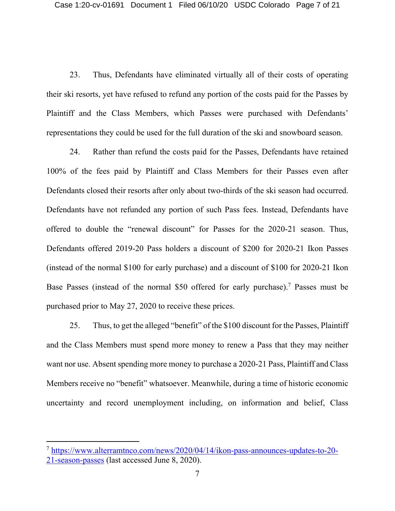23. Thus, Defendants have eliminated virtually all of their costs of operating their ski resorts, yet have refused to refund any portion of the costs paid for the Passes by Plaintiff and the Class Members, which Passes were purchased with Defendants' representations they could be used for the full duration of the ski and snowboard season.

24. Rather than refund the costs paid for the Passes, Defendants have retained 100% of the fees paid by Plaintiff and Class Members for their Passes even after Defendants closed their resorts after only about two-thirds of the ski season had occurred. Defendants have not refunded any portion of such Pass fees. Instead, Defendants have offered to double the "renewal discount" for Passes for the 2020-21 season. Thus, Defendants offered 2019-20 Pass holders a discount of \$200 for 2020-21 Ikon Passes (instead of the normal \$100 for early purchase) and a discount of \$100 for 2020-21 Ikon Base Passes (instead of the normal \$50 offered for early purchase).<sup>7</sup> Passes must be purchased prior to May 27, 2020 to receive these prices.

25. Thus, to get the alleged "benefit" of the \$100 discount for the Passes, Plaintiff and the Class Members must spend more money to renew a Pass that they may neither want nor use. Absent spending more money to purchase a 2020-21 Pass, Plaintiff and Class Members receive no "benefit" whatsoever. Meanwhile, during a time of historic economic uncertainty and record unemployment including, on information and belief, Class

<sup>7</sup> https://www.alterramtnco.com/news/2020/04/14/ikon-pass-announces-updates-to-20- 21-season-passes (last accessed June 8, 2020).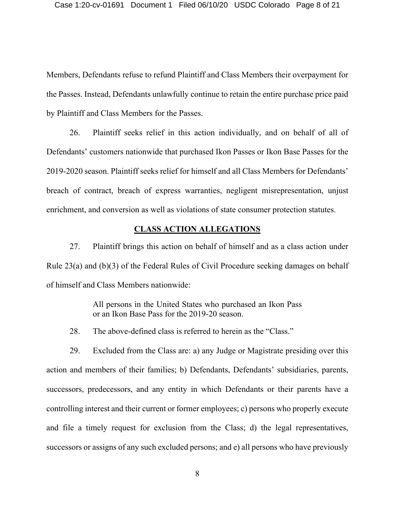Members, Defendants refuse to refund Plaintiff and Class Members their overpayment for the Passes. Instead, Defendants unlawfully continue to retain the entire purchase price paid by Plaintiff and Class Members for the Passes.

26. Plaintiff seeks relief in this action individually, and on behalf of all of Defendants' customers nationwide that purchased Ikon Passes or Ikon Base Passes for the 2019-2020 season. Plaintiff seeks relief for himself and all Class Members for Defendants' breach of contract, breach of express warranties, negligent misrepresentation, unjust enrichment, and conversion as well as violations of state consumer protection statutes.

#### **CLASS ACTION ALLEGATIONS**

27. Plaintiff brings this action on behalf of himself and as a class action under Rule 23(a) and (b)(3) of the Federal Rules of Civil Procedure seeking damages on behalf of himself and Class Members nationwide:

> All persons in the United States who purchased an Ikon Pass or an Ikon Base Pass for the 2019-20 season.

28. The above-defined class is referred to herein as the "Class."

29. Excluded from the Class are: a) any Judge or Magistrate presiding over this action and members of their families; b) Defendants, Defendants' subsidiaries, parents, successors, predecessors, and any entity in which Defendants or their parents have a controlling interest and their current or former employees; c) persons who properly execute and file a timely request for exclusion from the Class; d) the legal representatives, successors or assigns of any such excluded persons; and e) all persons who have previously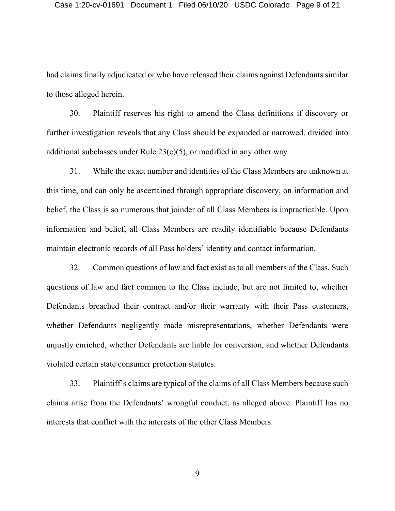had claims finally adjudicated or who have released their claims against Defendants similar to those alleged herein.

30. Plaintiff reserves his right to amend the Class definitions if discovery or further investigation reveals that any Class should be expanded or narrowed, divided into additional subclasses under Rule  $23(c)(5)$ , or modified in any other way

31. While the exact number and identities of the Class Members are unknown at this time, and can only be ascertained through appropriate discovery, on information and belief, the Class is so numerous that joinder of all Class Members is impracticable. Upon information and belief, all Class Members are readily identifiable because Defendants maintain electronic records of all Pass holders' identity and contact information.

32. Common questions of law and fact exist as to all members of the Class. Such questions of law and fact common to the Class include, but are not limited to, whether Defendants breached their contract and/or their warranty with their Pass customers, whether Defendants negligently made misrepresentations, whether Defendants were unjustly enriched, whether Defendants are liable for conversion, and whether Defendants violated certain state consumer protection statutes.

33. Plaintiff's claims are typical of the claims of all Class Members because such claims arise from the Defendants' wrongful conduct, as alleged above. Plaintiff has no interests that conflict with the interests of the other Class Members.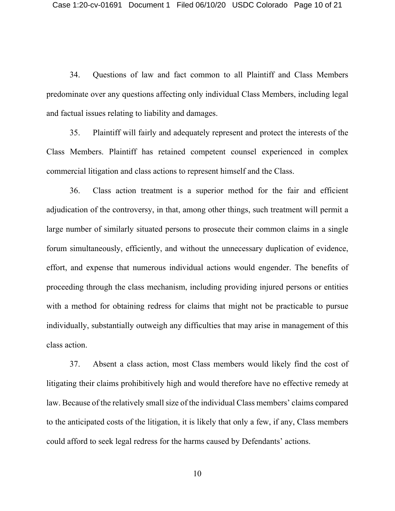34. Questions of law and fact common to all Plaintiff and Class Members predominate over any questions affecting only individual Class Members, including legal and factual issues relating to liability and damages.

35. Plaintiff will fairly and adequately represent and protect the interests of the Class Members. Plaintiff has retained competent counsel experienced in complex commercial litigation and class actions to represent himself and the Class.

36. Class action treatment is a superior method for the fair and efficient adjudication of the controversy, in that, among other things, such treatment will permit a large number of similarly situated persons to prosecute their common claims in a single forum simultaneously, efficiently, and without the unnecessary duplication of evidence, effort, and expense that numerous individual actions would engender. The benefits of proceeding through the class mechanism, including providing injured persons or entities with a method for obtaining redress for claims that might not be practicable to pursue individually, substantially outweigh any difficulties that may arise in management of this class action.

37. Absent a class action, most Class members would likely find the cost of litigating their claims prohibitively high and would therefore have no effective remedy at law. Because of the relatively small size of the individual Class members' claims compared to the anticipated costs of the litigation, it is likely that only a few, if any, Class members could afford to seek legal redress for the harms caused by Defendants' actions.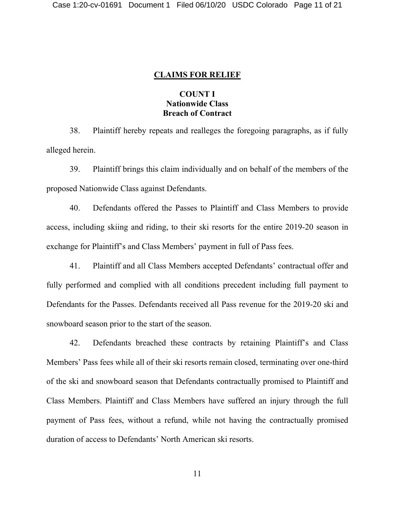#### **CLAIMS FOR RELIEF**

# **COUNT I Nationwide Class Breach of Contract**

38. Plaintiff hereby repeats and realleges the foregoing paragraphs, as if fully alleged herein.

39. Plaintiff brings this claim individually and on behalf of the members of the proposed Nationwide Class against Defendants.

40. Defendants offered the Passes to Plaintiff and Class Members to provide access, including skiing and riding, to their ski resorts for the entire 2019-20 season in exchange for Plaintiff's and Class Members' payment in full of Pass fees.

41. Plaintiff and all Class Members accepted Defendants' contractual offer and fully performed and complied with all conditions precedent including full payment to Defendants for the Passes. Defendants received all Pass revenue for the 2019-20 ski and snowboard season prior to the start of the season.

42. Defendants breached these contracts by retaining Plaintiff's and Class Members' Pass fees while all of their ski resorts remain closed, terminating over one-third of the ski and snowboard season that Defendants contractually promised to Plaintiff and Class Members. Plaintiff and Class Members have suffered an injury through the full payment of Pass fees, without a refund, while not having the contractually promised duration of access to Defendants' North American ski resorts.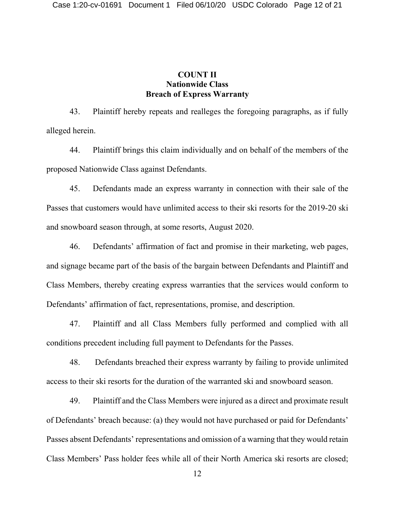# **COUNT II Nationwide Class Breach of Express Warranty**

43. Plaintiff hereby repeats and realleges the foregoing paragraphs, as if fully alleged herein.

44. Plaintiff brings this claim individually and on behalf of the members of the proposed Nationwide Class against Defendants.

45. Defendants made an express warranty in connection with their sale of the Passes that customers would have unlimited access to their ski resorts for the 2019-20 ski and snowboard season through, at some resorts, August 2020.

46. Defendants' affirmation of fact and promise in their marketing, web pages, and signage became part of the basis of the bargain between Defendants and Plaintiff and Class Members, thereby creating express warranties that the services would conform to Defendants' affirmation of fact, representations, promise, and description.

47. Plaintiff and all Class Members fully performed and complied with all conditions precedent including full payment to Defendants for the Passes.

48. Defendants breached their express warranty by failing to provide unlimited access to their ski resorts for the duration of the warranted ski and snowboard season.

49. Plaintiff and the Class Members were injured as a direct and proximate result of Defendants' breach because: (a) they would not have purchased or paid for Defendants' Passes absent Defendants' representations and omission of a warning that they would retain Class Members' Pass holder fees while all of their North America ski resorts are closed;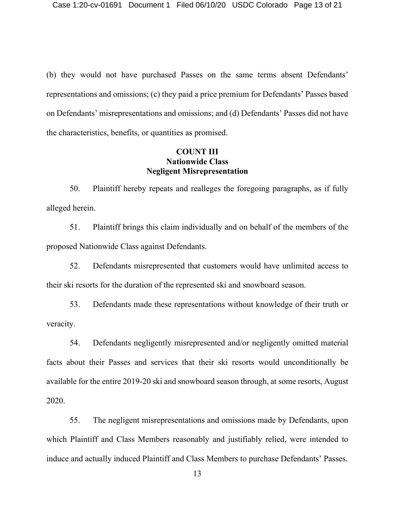(b) they would not have purchased Passes on the same terms absent Defendants' representations and omissions; (c) they paid a price premium for Defendants' Passes based on Defendants' misrepresentations and omissions; and (d) Defendants' Passes did not have the characteristics, benefits, or quantities as promised.

#### **COUNT III Nationwide Class Negligent Misrepresentation**

50. Plaintiff hereby repeats and realleges the foregoing paragraphs, as if fully alleged herein.

51. Plaintiff brings this claim individually and on behalf of the members of the proposed Nationwide Class against Defendants.

52. Defendants misrepresented that customers would have unlimited access to their ski resorts for the duration of the represented ski and snowboard season.

53. Defendants made these representations without knowledge of their truth or veracity.

54. Defendants negligently misrepresented and/or negligently omitted material facts about their Passes and services that their ski resorts would unconditionally be available for the entire 2019-20 ski and snowboard season through, at some resorts, August 2020.

55. The negligent misrepresentations and omissions made by Defendants, upon which Plaintiff and Class Members reasonably and justifiably relied, were intended to induce and actually induced Plaintiff and Class Members to purchase Defendants' Passes.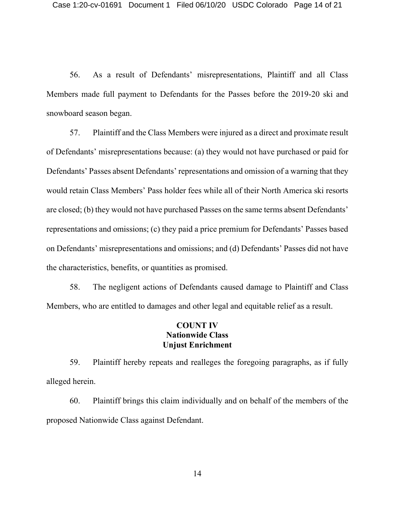56. As a result of Defendants' misrepresentations, Plaintiff and all Class Members made full payment to Defendants for the Passes before the 2019-20 ski and snowboard season began.

57. Plaintiff and the Class Members were injured as a direct and proximate result of Defendants' misrepresentations because: (a) they would not have purchased or paid for Defendants' Passes absent Defendants' representations and omission of a warning that they would retain Class Members' Pass holder fees while all of their North America ski resorts are closed; (b) they would not have purchased Passes on the same terms absent Defendants' representations and omissions; (c) they paid a price premium for Defendants' Passes based on Defendants' misrepresentations and omissions; and (d) Defendants' Passes did not have the characteristics, benefits, or quantities as promised.

58. The negligent actions of Defendants caused damage to Plaintiff and Class Members, who are entitled to damages and other legal and equitable relief as a result.

# **COUNT IV Nationwide Class Unjust Enrichment**

59. Plaintiff hereby repeats and realleges the foregoing paragraphs, as if fully alleged herein.

60. Plaintiff brings this claim individually and on behalf of the members of the proposed Nationwide Class against Defendant.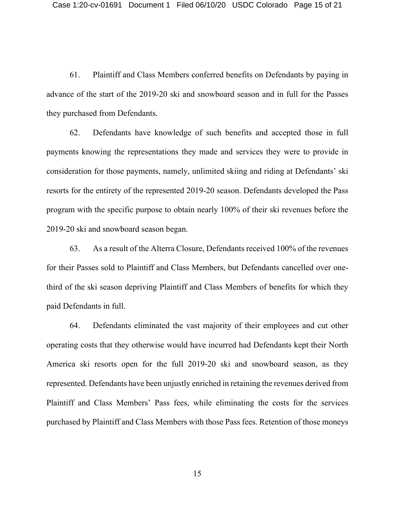61. Plaintiff and Class Members conferred benefits on Defendants by paying in advance of the start of the 2019-20 ski and snowboard season and in full for the Passes they purchased from Defendants.

62. Defendants have knowledge of such benefits and accepted those in full payments knowing the representations they made and services they were to provide in consideration for those payments, namely, unlimited skiing and riding at Defendants' ski resorts for the entirety of the represented 2019-20 season. Defendants developed the Pass program with the specific purpose to obtain nearly 100% of their ski revenues before the 2019-20 ski and snowboard season began.

63. As a result of the Alterra Closure, Defendants received 100% of the revenues for their Passes sold to Plaintiff and Class Members, but Defendants cancelled over onethird of the ski season depriving Plaintiff and Class Members of benefits for which they paid Defendants in full.

64. Defendants eliminated the vast majority of their employees and cut other operating costs that they otherwise would have incurred had Defendants kept their North America ski resorts open for the full 2019-20 ski and snowboard season, as they represented. Defendants have been unjustly enriched in retaining the revenues derived from Plaintiff and Class Members' Pass fees, while eliminating the costs for the services purchased by Plaintiff and Class Members with those Pass fees. Retention of those moneys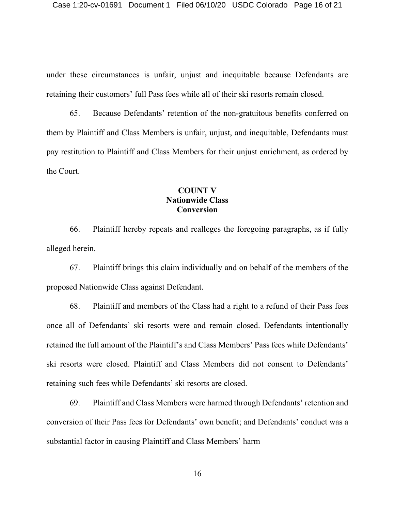under these circumstances is unfair, unjust and inequitable because Defendants are retaining their customers' full Pass fees while all of their ski resorts remain closed.

65. Because Defendants' retention of the non-gratuitous benefits conferred on them by Plaintiff and Class Members is unfair, unjust, and inequitable, Defendants must pay restitution to Plaintiff and Class Members for their unjust enrichment, as ordered by the Court.

# **COUNT V Nationwide Class Conversion**

66. Plaintiff hereby repeats and realleges the foregoing paragraphs, as if fully alleged herein.

67. Plaintiff brings this claim individually and on behalf of the members of the proposed Nationwide Class against Defendant.

68. Plaintiff and members of the Class had a right to a refund of their Pass fees once all of Defendants' ski resorts were and remain closed. Defendants intentionally retained the full amount of the Plaintiff's and Class Members' Pass fees while Defendants' ski resorts were closed. Plaintiff and Class Members did not consent to Defendants' retaining such fees while Defendants' ski resorts are closed.

69. Plaintiff and Class Members were harmed through Defendants' retention and conversion of their Pass fees for Defendants' own benefit; and Defendants' conduct was a substantial factor in causing Plaintiff and Class Members' harm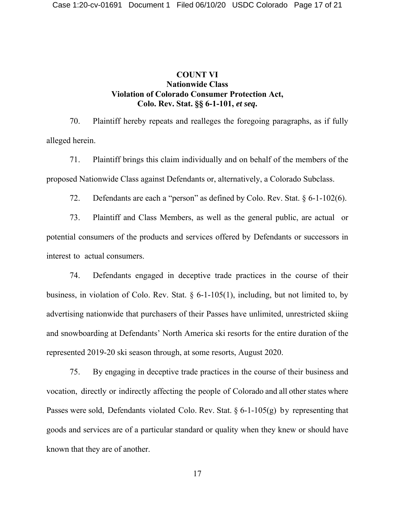# **COUNT VI Nationwide Class Violation of Colorado Consumer Protection Act, Colo. Rev. Stat. §§ 6-1-101,** *et seq***.**

70. Plaintiff hereby repeats and realleges the foregoing paragraphs, as if fully alleged herein.

71. Plaintiff brings this claim individually and on behalf of the members of the proposed Nationwide Class against Defendants or, alternatively, a Colorado Subclass.

72. Defendants are each a "person" as defined by Colo. Rev. Stat. § 6-1-102(6).

73. Plaintiff and Class Members, as well as the general public, are actual or potential consumers of the products and services offered by Defendants or successors in interest to actual consumers.

74. Defendants engaged in deceptive trade practices in the course of their business, in violation of Colo. Rev. Stat. § 6-1-105(1), including, but not limited to, by advertising nationwide that purchasers of their Passes have unlimited, unrestricted skiing and snowboarding at Defendants' North America ski resorts for the entire duration of the represented 2019-20 ski season through, at some resorts, August 2020.

75. By engaging in deceptive trade practices in the course of their business and vocation, directly or indirectly affecting the people of Colorado and all other states where Passes were sold, Defendants violated Colo. Rev. Stat. § 6-1-105(g) by representing that goods and services are of a particular standard or quality when they knew or should have known that they are of another.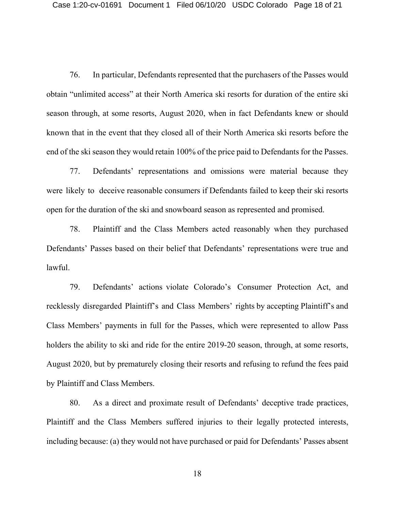76. In particular, Defendants represented that the purchasers of the Passes would obtain "unlimited access" at their North America ski resorts for duration of the entire ski season through, at some resorts, August 2020, when in fact Defendants knew or should known that in the event that they closed all of their North America ski resorts before the end of the ski season they would retain 100% of the price paid to Defendants for the Passes.

77. Defendants' representations and omissions were material because they were likely to deceive reasonable consumers if Defendants failed to keep their ski resorts open for the duration of the ski and snowboard season as represented and promised.

78. Plaintiff and the Class Members acted reasonably when they purchased Defendants' Passes based on their belief that Defendants' representations were true and lawful.

79. Defendants' actions violate Colorado's Consumer Protection Act, and recklessly disregarded Plaintiff's and Class Members' rights by accepting Plaintiff's and Class Members' payments in full for the Passes, which were represented to allow Pass holders the ability to ski and ride for the entire 2019-20 season, through, at some resorts, August 2020, but by prematurely closing their resorts and refusing to refund the fees paid by Plaintiff and Class Members.

80. As a direct and proximate result of Defendants' deceptive trade practices, Plaintiff and the Class Members suffered injuries to their legally protected interests, including because: (a) they would not have purchased or paid for Defendants' Passes absent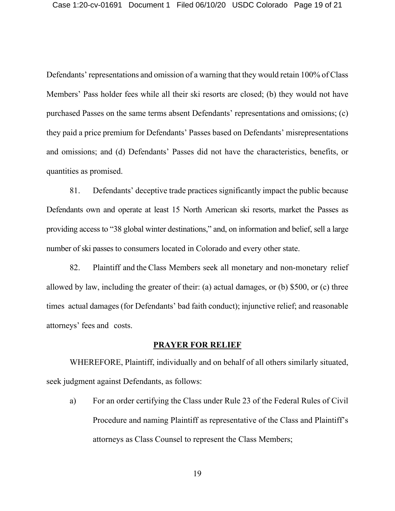Defendants' representations and omission of a warning that they would retain 100% of Class Members' Pass holder fees while all their ski resorts are closed; (b) they would not have purchased Passes on the same terms absent Defendants' representations and omissions; (c) they paid a price premium for Defendants' Passes based on Defendants' misrepresentations and omissions; and (d) Defendants' Passes did not have the characteristics, benefits, or quantities as promised.

81. Defendants' deceptive trade practices significantly impact the public because Defendants own and operate at least 15 North American ski resorts, market the Passes as providing access to "38 global winter destinations," and, on information and belief, sell a large number of ski passes to consumers located in Colorado and every other state.

82. Plaintiff and the Class Members seek all monetary and non-monetary relief allowed by law, including the greater of their: (a) actual damages, or (b) \$500, or (c) three times actual damages (for Defendants' bad faith conduct); injunctive relief; and reasonable attorneys' fees and costs.

#### **PRAYER FOR RELIEF**

WHEREFORE, Plaintiff, individually and on behalf of all others similarly situated, seek judgment against Defendants, as follows:

a) For an order certifying the Class under Rule 23 of the Federal Rules of Civil Procedure and naming Plaintiff as representative of the Class and Plaintiff's attorneys as Class Counsel to represent the Class Members;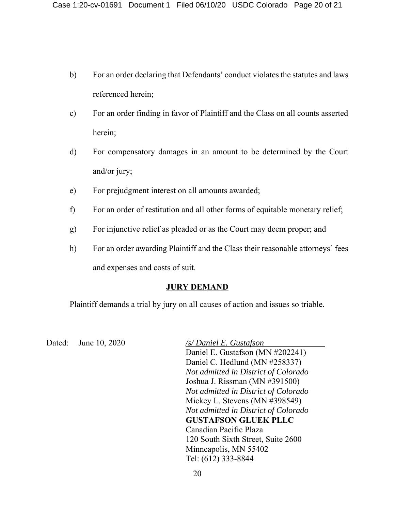- b) For an order declaring that Defendants' conduct violates the statutes and laws referenced herein;
- c) For an order finding in favor of Plaintiff and the Class on all counts asserted herein;
- d) For compensatory damages in an amount to be determined by the Court and/or jury;
- e) For prejudgment interest on all amounts awarded;
- f) For an order of restitution and all other forms of equitable monetary relief;
- g) For injunctive relief as pleaded or as the Court may deem proper; and
- h) For an order awarding Plaintiff and the Class their reasonable attorneys' fees and expenses and costs of suit.

# **JURY DEMAND**

Plaintiff demands a trial by jury on all causes of action and issues so triable.

Dated: June 10, 2020 */s/ Daniel E. Gustafson* 

Daniel E. Gustafson (MN #202241) Daniel C. Hedlund (MN #258337) *Not admitted in District of Colorado* Joshua J. Rissman (MN #391500) *Not admitted in District of Colorado* Mickey L. Stevens (MN #398549) *Not admitted in District of Colorado* **GUSTAFSON GLUEK PLLC** Canadian Pacific Plaza 120 South Sixth Street, Suite 2600 Minneapolis, MN 55402 Tel: (612) 333-8844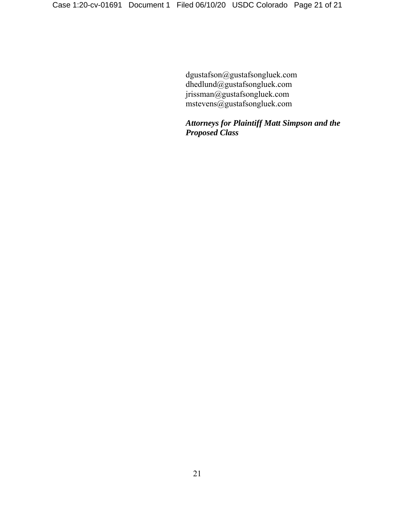dgustafson@gustafsongluek.com dhedlund@gustafsongluek.com jrissman@gustafsongluek.com mstevens@gustafsongluek.com

*Attorneys for Plaintiff Matt Simpson and the Proposed Class*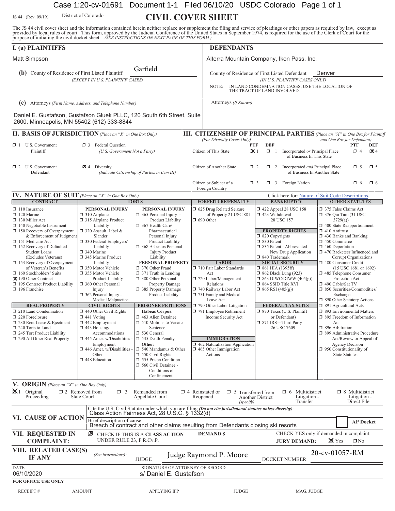Case 1:20-cv-01691 Document 1-1 Filed 06/10/20 USDC Colorado Page 1 of 1

District of Colorado

# JS 44 (Rev. 09/19) District of Colorado **CIVIL COVER SHEET**

The JS 44 civil cover sheet and the information contained herein neither replace nor supplement the filing and service of pleadings or other papers as required by law, except as provided by local rules of court. This form,

| <b>I.</b> (a) PLAINTIFFS                                                                                                                                                                                                                                                                                                                                                                                                                                                                                                                                                                                                                                                          |                                                                                                                                                                                                                                                                                                                                                                                                                                                                                                                                                                                                                              |                                                                                                                                                                                                                                                                                                                                                                                                                                                                                                                                                                                                                                                                                                                        |                        | <b>DEFENDANTS</b>                                                                                                                                                                                                                                                                                                                                                                                                                                  |                                                                                                                                                                                                                                                                                                                                                                                                                                                                                                                            |                                                                                                                                                                                                                                                                                                                                                                                                                                                                                                                                                                                                                                                                                                                                                                                    |
|-----------------------------------------------------------------------------------------------------------------------------------------------------------------------------------------------------------------------------------------------------------------------------------------------------------------------------------------------------------------------------------------------------------------------------------------------------------------------------------------------------------------------------------------------------------------------------------------------------------------------------------------------------------------------------------|------------------------------------------------------------------------------------------------------------------------------------------------------------------------------------------------------------------------------------------------------------------------------------------------------------------------------------------------------------------------------------------------------------------------------------------------------------------------------------------------------------------------------------------------------------------------------------------------------------------------------|------------------------------------------------------------------------------------------------------------------------------------------------------------------------------------------------------------------------------------------------------------------------------------------------------------------------------------------------------------------------------------------------------------------------------------------------------------------------------------------------------------------------------------------------------------------------------------------------------------------------------------------------------------------------------------------------------------------------|------------------------|----------------------------------------------------------------------------------------------------------------------------------------------------------------------------------------------------------------------------------------------------------------------------------------------------------------------------------------------------------------------------------------------------------------------------------------------------|----------------------------------------------------------------------------------------------------------------------------------------------------------------------------------------------------------------------------------------------------------------------------------------------------------------------------------------------------------------------------------------------------------------------------------------------------------------------------------------------------------------------------|------------------------------------------------------------------------------------------------------------------------------------------------------------------------------------------------------------------------------------------------------------------------------------------------------------------------------------------------------------------------------------------------------------------------------------------------------------------------------------------------------------------------------------------------------------------------------------------------------------------------------------------------------------------------------------------------------------------------------------------------------------------------------------|
| <b>Matt Simpson</b>                                                                                                                                                                                                                                                                                                                                                                                                                                                                                                                                                                                                                                                               |                                                                                                                                                                                                                                                                                                                                                                                                                                                                                                                                                                                                                              |                                                                                                                                                                                                                                                                                                                                                                                                                                                                                                                                                                                                                                                                                                                        |                        |                                                                                                                                                                                                                                                                                                                                                                                                                                                    | Alterra Mountain Company, Ikon Pass, Inc.                                                                                                                                                                                                                                                                                                                                                                                                                                                                                  |                                                                                                                                                                                                                                                                                                                                                                                                                                                                                                                                                                                                                                                                                                                                                                                    |
| (b) County of Residence of First Listed Plaintiff                                                                                                                                                                                                                                                                                                                                                                                                                                                                                                                                                                                                                                 |                                                                                                                                                                                                                                                                                                                                                                                                                                                                                                                                                                                                                              | Garfield                                                                                                                                                                                                                                                                                                                                                                                                                                                                                                                                                                                                                                                                                                               |                        |                                                                                                                                                                                                                                                                                                                                                                                                                                                    | County of Residence of First Listed Defendant                                                                                                                                                                                                                                                                                                                                                                                                                                                                              | Denver                                                                                                                                                                                                                                                                                                                                                                                                                                                                                                                                                                                                                                                                                                                                                                             |
|                                                                                                                                                                                                                                                                                                                                                                                                                                                                                                                                                                                                                                                                                   | (EXCEPT IN U.S. PLAINTIFF CASES)                                                                                                                                                                                                                                                                                                                                                                                                                                                                                                                                                                                             |                                                                                                                                                                                                                                                                                                                                                                                                                                                                                                                                                                                                                                                                                                                        |                        | NOTE:                                                                                                                                                                                                                                                                                                                                                                                                                                              | (IN U.S. PLAINTIFF CASES ONLY)<br>IN LAND CONDEMNATION CASES, USE THE LOCATION OF<br>THE TRACT OF LAND INVOLVED.                                                                                                                                                                                                                                                                                                                                                                                                           |                                                                                                                                                                                                                                                                                                                                                                                                                                                                                                                                                                                                                                                                                                                                                                                    |
| (c) Attorneys (Firm Name, Address, and Telephone Number)                                                                                                                                                                                                                                                                                                                                                                                                                                                                                                                                                                                                                          |                                                                                                                                                                                                                                                                                                                                                                                                                                                                                                                                                                                                                              |                                                                                                                                                                                                                                                                                                                                                                                                                                                                                                                                                                                                                                                                                                                        |                        | Attorneys (If Known)                                                                                                                                                                                                                                                                                                                                                                                                                               |                                                                                                                                                                                                                                                                                                                                                                                                                                                                                                                            |                                                                                                                                                                                                                                                                                                                                                                                                                                                                                                                                                                                                                                                                                                                                                                                    |
| Daniel E. Gustafson, Gustafson Gluek PLLC, 120 South 6th Street, Suite<br>2600, Minneapolis, MN 55402 (612) 333-8844                                                                                                                                                                                                                                                                                                                                                                                                                                                                                                                                                              |                                                                                                                                                                                                                                                                                                                                                                                                                                                                                                                                                                                                                              |                                                                                                                                                                                                                                                                                                                                                                                                                                                                                                                                                                                                                                                                                                                        |                        |                                                                                                                                                                                                                                                                                                                                                                                                                                                    |                                                                                                                                                                                                                                                                                                                                                                                                                                                                                                                            |                                                                                                                                                                                                                                                                                                                                                                                                                                                                                                                                                                                                                                                                                                                                                                                    |
| II. BASIS OF JURISDICTION (Place an "X" in One Box Only)                                                                                                                                                                                                                                                                                                                                                                                                                                                                                                                                                                                                                          |                                                                                                                                                                                                                                                                                                                                                                                                                                                                                                                                                                                                                              |                                                                                                                                                                                                                                                                                                                                                                                                                                                                                                                                                                                                                                                                                                                        |                        |                                                                                                                                                                                                                                                                                                                                                                                                                                                    |                                                                                                                                                                                                                                                                                                                                                                                                                                                                                                                            | <b>III. CITIZENSHIP OF PRINCIPAL PARTIES</b> (Place an "X" in One Box for Plaintiff                                                                                                                                                                                                                                                                                                                                                                                                                                                                                                                                                                                                                                                                                                |
| $\Box$ 1 U.S. Government<br>Plaintiff                                                                                                                                                                                                                                                                                                                                                                                                                                                                                                                                                                                                                                             | Federal Question<br>$\Box$ 3<br>(U.S. Government Not a Party)                                                                                                                                                                                                                                                                                                                                                                                                                                                                                                                                                                |                                                                                                                                                                                                                                                                                                                                                                                                                                                                                                                                                                                                                                                                                                                        |                        | (For Diversity Cases Only)<br><b>PTF</b><br>Citizen of This State                                                                                                                                                                                                                                                                                                                                                                                  | <b>DEF</b><br>$\mathbf{X}$ 1<br>$\Box$ 1<br>Incorporated or Principal Place<br>of Business In This State                                                                                                                                                                                                                                                                                                                                                                                                                   | and One Box for Defendant)<br><b>PTF</b><br>DEF<br>$\Box$ 4<br>$\mathbf{\propto}$ 4                                                                                                                                                                                                                                                                                                                                                                                                                                                                                                                                                                                                                                                                                                |
| $\Box$ 2 U.S. Government<br>Defendant                                                                                                                                                                                                                                                                                                                                                                                                                                                                                                                                                                                                                                             | $\mathbf{\times}$ 4 Diversity                                                                                                                                                                                                                                                                                                                                                                                                                                                                                                                                                                                                | (Indicate Citizenship of Parties in Item III)                                                                                                                                                                                                                                                                                                                                                                                                                                                                                                                                                                                                                                                                          |                        | Citizen of Another State<br>$\Box$ 2                                                                                                                                                                                                                                                                                                                                                                                                               | Incorporated and Principal Place<br>$\Box$ 2                                                                                                                                                                                                                                                                                                                                                                                                                                                                               | $\square$ 5<br>$\square$ 5<br>of Business In Another State                                                                                                                                                                                                                                                                                                                                                                                                                                                                                                                                                                                                                                                                                                                         |
|                                                                                                                                                                                                                                                                                                                                                                                                                                                                                                                                                                                                                                                                                   |                                                                                                                                                                                                                                                                                                                                                                                                                                                                                                                                                                                                                              |                                                                                                                                                                                                                                                                                                                                                                                                                                                                                                                                                                                                                                                                                                                        |                        | Citizen or Subject of a<br>$\Box$ 3<br>Foreign Country                                                                                                                                                                                                                                                                                                                                                                                             | $\Box$ 3 Foreign Nation                                                                                                                                                                                                                                                                                                                                                                                                                                                                                                    | $\Box$ 6<br>$\neg$ 6                                                                                                                                                                                                                                                                                                                                                                                                                                                                                                                                                                                                                                                                                                                                                               |
| IV. NATURE OF SUIT (Place an "X" in One Box Only)                                                                                                                                                                                                                                                                                                                                                                                                                                                                                                                                                                                                                                 |                                                                                                                                                                                                                                                                                                                                                                                                                                                                                                                                                                                                                              |                                                                                                                                                                                                                                                                                                                                                                                                                                                                                                                                                                                                                                                                                                                        |                        |                                                                                                                                                                                                                                                                                                                                                                                                                                                    |                                                                                                                                                                                                                                                                                                                                                                                                                                                                                                                            | Click here for: Nature of Suit Code Descriptions.                                                                                                                                                                                                                                                                                                                                                                                                                                                                                                                                                                                                                                                                                                                                  |
| <b>CONTRACT</b><br>$\Box$ 110 Insurance<br>$\Box$ 120 Marine<br>$\Box$ 130 Miller Act<br>$\Box$ 140 Negotiable Instrument<br>$\Box$ 150 Recovery of Overpayment<br>& Enforcement of Judgment<br>151 Medicare Act<br>152 Recovery of Defaulted<br><b>Student Loans</b><br>(Excludes Veterans)<br>$\Box$ 153 Recovery of Overpayment<br>of Veteran's Benefits<br>160 Stockholders' Suits<br>X 190 Other Contract<br>195 Contract Product Liability<br>$\Box$ 196 Franchise<br><b>REAL PROPERTY</b><br>$\Box$ 210 Land Condemnation<br>220 Foreclosure<br>$\Box$ 230 Rent Lease & Ejectment<br>$\Box$ 240 Torts to Land<br>245 Tort Product Liability<br>290 All Other Real Property | PERSONAL INJURY<br>$\Box$ 310 Airplane<br>□ 315 Airplane Product<br>Liability<br>□ 320 Assault, Libel &<br>Slander<br>330 Federal Employers'<br>Liability<br>340 Marine<br>345 Marine Product<br>Liability<br>350 Motor Vehicle<br>□ 355 Motor Vehicle<br>Product Liability<br>360 Other Personal<br>Injury<br>$\Box$ 362 Personal Injury -<br>Medical Malpractice<br><b>CIVIL RIGHTS</b><br>$\Box$ 440 Other Civil Rights<br>$\Box$ 441 Voting<br>$\Box$ 442 Employment<br>$\Box$ 443 Housing/<br>Accommodations<br>$\Box$ 445 Amer. w/Disabilities -<br>Employment<br>446 Amer. w/Disabilities -<br>Other<br>448 Education | <b>TORTS</b><br>PERSONAL INJURY<br>$\Box$ 365 Personal Injury -<br>Product Liability<br>$\Box$ 367 Health Care/<br>Pharmaceutical<br>Personal Injury<br>Product Liability<br>368 Asbestos Personal<br><b>Injury Product</b><br>Liability<br>PERSONAL PROPERTY<br>370 Other Fraud<br>$\Box$ 371 Truth in Lending<br>380 Other Personal<br>Property Damage<br>385 Property Damage<br>Product Liability<br>PRISONER PETITIONS<br><b>Habeas Corpus:</b><br>463 Alien Detainee<br>$\Box$ 510 Motions to Vacate<br>Sentence<br>□ 530 General<br>535 Death Penalty<br>Other:<br>$\Box$ 540 Mandamus & Other<br>$\Box$ 550 Civil Rights<br>555 Prison Condition<br>$\Box$ 560 Civil Detainee -<br>Conditions of<br>Confinement |                        | <b>FORFEITURE/PENALTY</b><br>5 625 Drug Related Seizure<br>of Property 21 USC 881<br>$\Box$ 690 Other<br><b>LABOR</b><br>710 Fair Labor Standards<br>Act<br>720 Labor/Management<br>Relations<br>740 Railway Labor Act<br>751 Family and Medical<br>Leave Act<br>790 Other Labor Litigation<br>791 Employee Retirement<br>Income Security Act<br><b>IMMIGRATION</b><br>□ 462 Naturalization Application<br>$\Box$ 465 Other Immigration<br>Actions | <b>BANKRUPTCY</b><br>1422 Appeal 28 USC 158<br>$\Box$ 423 Withdrawal<br>28 USC 157<br><b>PROPERTY RIGHTS</b><br>$\Box$ 820 Copyrights<br>□ 830 Patent<br>335 Patent - Abbreviated<br>New Drug Application<br>□ 840 Trademark<br><b>SOCIAL SECURITY</b><br>$\Box$ 861 HIA (1395ff)<br><b>1</b> 862 Black Lung (923)<br>$\Box$ 863 DIWC/DIWW (405(g))<br>□ 864 SSID Title XVI<br>$\Box$ 865 RSI (405(g))<br><b>FEDERAL TAX SUITS</b><br>□ 870 Taxes (U.S. Plaintiff<br>or Defendant)<br>□ 871 IRS-Third Party<br>26 USC 7609 | <b>OTHER STATUTES</b><br>□ 375 False Claims Act<br>$\Box$ 376 Qui Tam (31 USC)<br>3729(a)<br>1 400 State Reapportionment<br>$\Box$ 410 Antitrust<br>$\Box$ 430 Banks and Banking<br>$\Box$ 450 Commerce<br>$\Box$ 460 Deportation<br>1 470 Racketeer Influenced and<br>Corrupt Organizations<br>480 Consumer Credit<br>(15 USC 1681 or 1692)<br>1485 Telephone Consumer<br>Protection Act<br>$\Box$ 490 Cable/Sat TV<br>□ 850 Securities/Commodities/<br>Exchange<br>1 890 Other Statutory Actions<br>□ 891 Agricultural Acts<br><b>1 893 Environmental Matters</b><br>□ 895 Freedom of Information<br>Act<br>□ 896 Arbitration<br>□ 899 Administrative Procedure<br>Act/Review or Appeal of<br><b>Agency Decision</b><br>$\Box$ 950 Constitutionality of<br><b>State Statutes</b> |
| V. ORIGIN (Place an "X" in One Box Only)                                                                                                                                                                                                                                                                                                                                                                                                                                                                                                                                                                                                                                          |                                                                                                                                                                                                                                                                                                                                                                                                                                                                                                                                                                                                                              |                                                                                                                                                                                                                                                                                                                                                                                                                                                                                                                                                                                                                                                                                                                        |                        |                                                                                                                                                                                                                                                                                                                                                                                                                                                    |                                                                                                                                                                                                                                                                                                                                                                                                                                                                                                                            |                                                                                                                                                                                                                                                                                                                                                                                                                                                                                                                                                                                                                                                                                                                                                                                    |
| $\mathbb{X}$ 1 Original<br>Proceeding                                                                                                                                                                                                                                                                                                                                                                                                                                                                                                                                                                                                                                             | $\Box$ 2 Removed from<br>$\Box$ 3<br><b>State Court</b>                                                                                                                                                                                                                                                                                                                                                                                                                                                                                                                                                                      | Remanded from<br>Appellate Court                                                                                                                                                                                                                                                                                                                                                                                                                                                                                                                                                                                                                                                                                       | $\Box$ 4 Reinstated or | $\Box$ 5 Transferred from<br>Reopened<br>(specify)                                                                                                                                                                                                                                                                                                                                                                                                 | $\Box$ 6<br>Multidistrict<br>Litigation -<br><b>Another District</b><br>Transfer                                                                                                                                                                                                                                                                                                                                                                                                                                           | $\Box$ 8 Multidistrict<br>Litigation -<br>Direct File                                                                                                                                                                                                                                                                                                                                                                                                                                                                                                                                                                                                                                                                                                                              |
| VI. CAUSE OF ACTION                                                                                                                                                                                                                                                                                                                                                                                                                                                                                                                                                                                                                                                               | Brief description of cause:                                                                                                                                                                                                                                                                                                                                                                                                                                                                                                                                                                                                  | Class Action Fairness Act, 28 U.S.C. § 1332(d)                                                                                                                                                                                                                                                                                                                                                                                                                                                                                                                                                                                                                                                                         |                        | Cite the U.S. Civil Statute under which you are filing (Do not cite jurisdictional statutes unless diversity):<br>Breach of contract and other claims resulting from Defendants closing ski resorts                                                                                                                                                                                                                                                |                                                                                                                                                                                                                                                                                                                                                                                                                                                                                                                            | <b>AP Docket</b>                                                                                                                                                                                                                                                                                                                                                                                                                                                                                                                                                                                                                                                                                                                                                                   |
| <b>VII. REQUESTED IN</b><br><b>COMPLAINT:</b>                                                                                                                                                                                                                                                                                                                                                                                                                                                                                                                                                                                                                                     | ⊠<br>UNDER RULE 23, F.R.Cv.P.                                                                                                                                                                                                                                                                                                                                                                                                                                                                                                                                                                                                | CHECK IF THIS IS A CLASS ACTION                                                                                                                                                                                                                                                                                                                                                                                                                                                                                                                                                                                                                                                                                        |                        | <b>DEMAND \$</b>                                                                                                                                                                                                                                                                                                                                                                                                                                   | <b>JURY DEMAND:</b>                                                                                                                                                                                                                                                                                                                                                                                                                                                                                                        | CHECK YES only if demanded in complaint:<br>X Yes<br>$\Box$ No                                                                                                                                                                                                                                                                                                                                                                                                                                                                                                                                                                                                                                                                                                                     |
| VIII. RELATED CASE(S)<br><b>IF ANY</b>                                                                                                                                                                                                                                                                                                                                                                                                                                                                                                                                                                                                                                            | (See instructions):                                                                                                                                                                                                                                                                                                                                                                                                                                                                                                                                                                                                          | <b>JUDGE</b>                                                                                                                                                                                                                                                                                                                                                                                                                                                                                                                                                                                                                                                                                                           |                        | Judge Raymond P. Moore                                                                                                                                                                                                                                                                                                                                                                                                                             | DOCKET NUMBER                                                                                                                                                                                                                                                                                                                                                                                                                                                                                                              | 20-cv-01057-RM                                                                                                                                                                                                                                                                                                                                                                                                                                                                                                                                                                                                                                                                                                                                                                     |
| <b>DATE</b><br>06/10/2020<br><b>FOR OFFICE USE ONLY</b>                                                                                                                                                                                                                                                                                                                                                                                                                                                                                                                                                                                                                           |                                                                                                                                                                                                                                                                                                                                                                                                                                                                                                                                                                                                                              | SIGNATURE OF ATTORNEY OF RECORD<br>s/ Daniel E. Gustafson                                                                                                                                                                                                                                                                                                                                                                                                                                                                                                                                                                                                                                                              |                        |                                                                                                                                                                                                                                                                                                                                                                                                                                                    |                                                                                                                                                                                                                                                                                                                                                                                                                                                                                                                            |                                                                                                                                                                                                                                                                                                                                                                                                                                                                                                                                                                                                                                                                                                                                                                                    |
| RECEIPT#                                                                                                                                                                                                                                                                                                                                                                                                                                                                                                                                                                                                                                                                          | <b>AMOUNT</b>                                                                                                                                                                                                                                                                                                                                                                                                                                                                                                                                                                                                                | <b>APPLYING IFP</b>                                                                                                                                                                                                                                                                                                                                                                                                                                                                                                                                                                                                                                                                                                    |                        | <b>JUDGE</b>                                                                                                                                                                                                                                                                                                                                                                                                                                       | MAG. JUDGE                                                                                                                                                                                                                                                                                                                                                                                                                                                                                                                 |                                                                                                                                                                                                                                                                                                                                                                                                                                                                                                                                                                                                                                                                                                                                                                                    |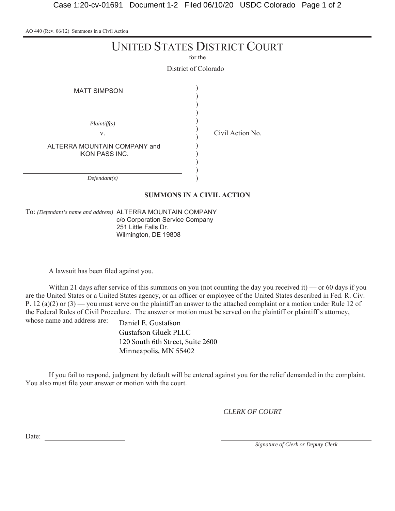AO 440 (Rev. 06/12) Summons in a Civil Action

|                                                                             | <b>UNITED STATES DISTRICT COURT</b><br>for the |
|-----------------------------------------------------------------------------|------------------------------------------------|
| <b>MATT SIMPSON</b>                                                         | District of Colorado                           |
| Plaintiff(s)<br>V.<br>ALTERRA MOUNTAIN COMPANY and<br><b>IKON PASS INC.</b> | Civil Action No.                               |
| Defendant(s)                                                                | <b>SUMMONS IN A CIVIL ACTION</b>               |

To: *(Defendant's name and address)* ALTERRA MOUNTAIN COMPANY c/o Corporation Service Company 251 Little Falls Dr. Wilmington, DE 19808

A lawsuit has been filed against you.

Within 21 days after service of this summons on you (not counting the day you received it) — or 60 days if you are the United States or a United States agency, or an officer or employee of the United States described in Fed. R. Civ. P. 12 (a)(2) or (3) — you must serve on the plaintiff an answer to the attached complaint or a motion under Rule 12 of the Federal Rules of Civil Procedure. The answer or motion must be served on the plaintiff or plaintiff's attorney, whose name and address are:

Daniel E. Gustafson Gustafson Gluek PLLC 120 South 6th Street, Suite 2600 Minneapolis, MN 55402

If you fail to respond, judgment by default will be entered against you for the relief demanded in the complaint. You also must file your answer or motion with the court.

*CLERK OF COURT*

Date:

*Signature of Clerk or Deputy Clerk*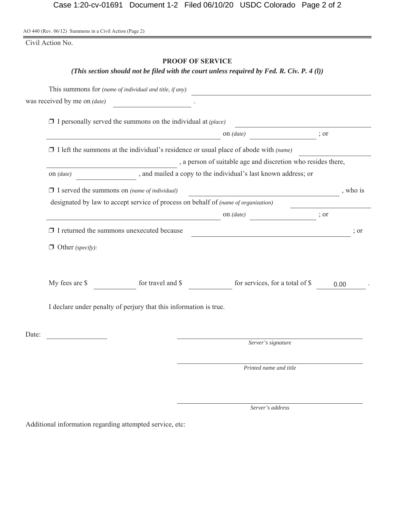AO 440 (Rev. 06/12) Summons in a Civil Action (Page 2)

Civil Action No.

#### **PROOF OF SERVICE**

*(This section should not be filed with the court unless required by Fed. R. Civ. P. 4 (l))*

| ; or<br>$\Box$ I left the summons at the individual's residence or usual place of abode with (name)<br>, a person of suitable age and discretion who resides there,<br>, and mailed a copy to the individual's last known address; or<br>, who is<br><u> 1989 - Johann Barn, fransk politik (d. 1989)</u><br>$\frac{1}{2}$ or |
|-------------------------------------------------------------------------------------------------------------------------------------------------------------------------------------------------------------------------------------------------------------------------------------------------------------------------------|
|                                                                                                                                                                                                                                                                                                                               |
|                                                                                                                                                                                                                                                                                                                               |
|                                                                                                                                                                                                                                                                                                                               |
|                                                                                                                                                                                                                                                                                                                               |
|                                                                                                                                                                                                                                                                                                                               |
|                                                                                                                                                                                                                                                                                                                               |
|                                                                                                                                                                                                                                                                                                                               |
|                                                                                                                                                                                                                                                                                                                               |
|                                                                                                                                                                                                                                                                                                                               |
| ; or<br><u> 1989 - Johann Barbara, martxa alemaniar arg</u>                                                                                                                                                                                                                                                                   |
|                                                                                                                                                                                                                                                                                                                               |
| for services, for a total of \$<br>0.00                                                                                                                                                                                                                                                                                       |
|                                                                                                                                                                                                                                                                                                                               |
|                                                                                                                                                                                                                                                                                                                               |
| Server's signature                                                                                                                                                                                                                                                                                                            |
| Printed name and title                                                                                                                                                                                                                                                                                                        |
|                                                                                                                                                                                                                                                                                                                               |

*Server's address*

Additional information regarding attempted service, etc: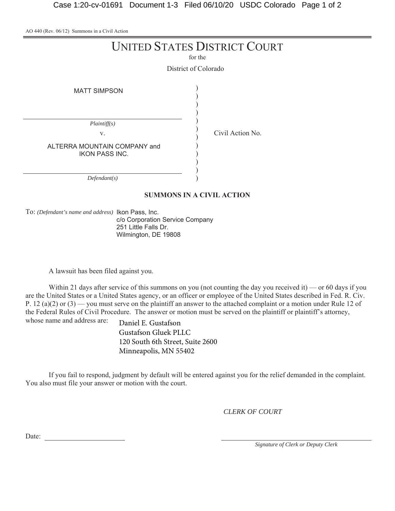AO 440 (Rev. 06/12) Summons in a Civil Action

|                                                                             | <b>UNITED STATES DISTRICT COURT</b><br>for the |
|-----------------------------------------------------------------------------|------------------------------------------------|
|                                                                             | District of Colorado                           |
| <b>MATT SIMPSON</b>                                                         |                                                |
| Plaintiff(s)<br>V.<br>ALTERRA MOUNTAIN COMPANY and<br><b>IKON PASS INC.</b> | Civil Action No.                               |
| Defendant(s)                                                                |                                                |

#### **SUMMONS IN A CIVIL ACTION**

To: *(Defendant's name and address)* Ikon Pass, Inc.

c/o Corporation Service Company 251 Little Falls Dr. Wilmington, DE 19808

A lawsuit has been filed against you.

Within 21 days after service of this summons on you (not counting the day you received it) — or 60 days if you are the United States or a United States agency, or an officer or employee of the United States described in Fed. R. Civ. P. 12 (a)(2) or  $(3)$  — you must serve on the plaintiff an answer to the attached complaint or a motion under Rule 12 of the Federal Rules of Civil Procedure. The answer or motion must be served on the plaintiff or plaintiff's attorney, whose name and address are:

Daniel E. Gustafson Gustafson Gluek PLLC 120 South 6th Street, Suite 2600 Minneapolis, MN 55402

If you fail to respond, judgment by default will be entered against you for the relief demanded in the complaint. You also must file your answer or motion with the court.

*CLERK OF COURT*

Date:

*Signature of Clerk or Deputy Clerk*